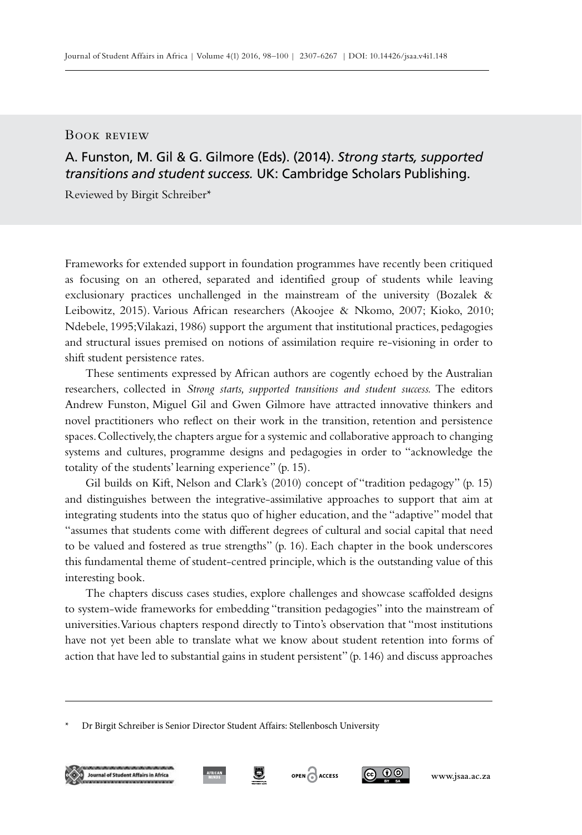## Book review

## A. Funston, M. Gil & G. Gilmore (Eds). (2014). *Strong starts, supported transitions and student success.* UK: Cambridge Scholars Publishing.

Reviewed by Birgit Schreiber\*

Frameworks for extended support in foundation programmes have recently been critiqued as focusing on an othered, separated and identified group of students while leaving exclusionary practices unchallenged in the mainstream of the university (Bozalek & Leibowitz, 2015). Various African researchers (Akoojee & Nkomo, 2007; Kioko, 2010; Ndebele, 1995; Vilakazi, 1986) support the argument that institutional practices, pedagogies and structural issues premised on notions of assimilation require re-visioning in order to shift student persistence rates.

These sentiments expressed by African authors are cogently echoed by the Australian researchers, collected in *Strong starts, supported transitions and student success.* The editors Andrew Funston, Miguel Gil and Gwen Gilmore have attracted innovative thinkers and novel practitioners who reflect on their work in the transition, retention and persistence spaces. Collectively, the chapters argue for a systemic and collaborative approach to changing systems and cultures, programme designs and pedagogies in order to "acknowledge the totality of the students' learning experience" (p. 15).

Gil builds on Kift, Nelson and Clark's (2010) concept of "tradition pedagogy" (p. 15) and distinguishes between the integrative-assimilative approaches to support that aim at integrating students into the status quo of higher education, and the "adaptive" model that "assumes that students come with different degrees of cultural and social capital that need to be valued and fostered as true strengths" (p. 16). Each chapter in the book underscores this fundamental theme of student-centred principle, which is the outstanding value of this interesting book.

The chapters discuss cases studies, explore challenges and showcase scaffolded designs to system-wide frameworks for embedding "transition pedagogies" into the mainstream of universities. Various chapters respond directly to Tinto's observation that "most institutions have not yet been able to translate what we know about student retention into forms of action that have led to substantial gains in student persistent" (p. 146) and discuss approaches



g.





<sup>\*</sup> Dr Birgit Schreiber is Senior Director Student Affairs: Stellenbosch University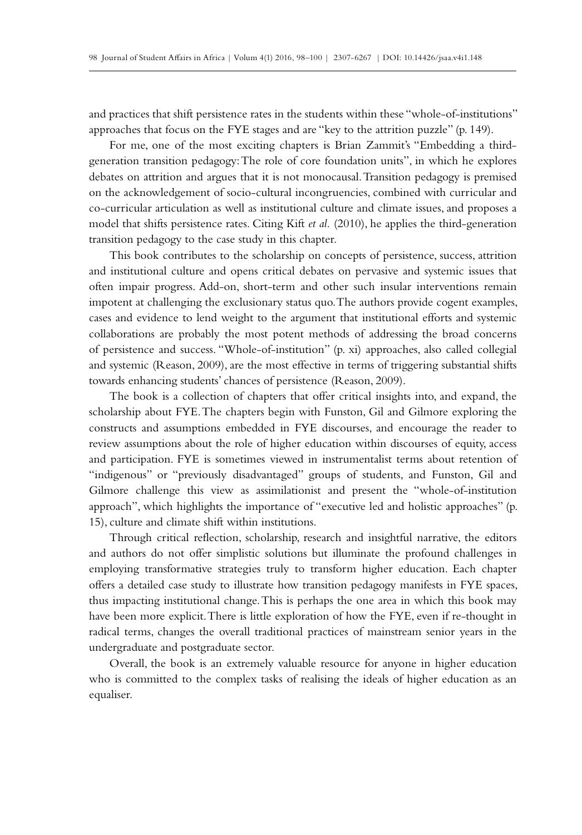and practices that shift persistence rates in the students within these "whole-of-institutions" approaches that focus on the FYE stages and are "key to the attrition puzzle" (p. 149).

For me, one of the most exciting chapters is Brian Zammit's "Embedding a thirdgeneration transition pedagogy: The role of core foundation units", in which he explores debates on attrition and argues that it is not monocausal. Transition pedagogy is premised on the acknowledgement of socio-cultural incongruencies, combined with curricular and co-curricular articulation as well as institutional culture and climate issues, and proposes a model that shifts persistence rates. Citing Kift *et al.* (2010), he applies the third-generation transition pedagogy to the case study in this chapter.

This book contributes to the scholarship on concepts of persistence, success, attrition and institutional culture and opens critical debates on pervasive and systemic issues that often impair progress. Add-on, short-term and other such insular interventions remain impotent at challenging the exclusionary status quo. The authors provide cogent examples, cases and evidence to lend weight to the argument that institutional efforts and systemic collaborations are probably the most potent methods of addressing the broad concerns of persistence and success. "Whole-of-institution" (p. xi) approaches, also called collegial and systemic (Reason, 2009), are the most effective in terms of triggering substantial shifts towards enhancing students' chances of persistence (Reason, 2009).

The book is a collection of chapters that offer critical insights into, and expand, the scholarship about FYE. The chapters begin with Funston, Gil and Gilmore exploring the constructs and assumptions embedded in FYE discourses, and encourage the reader to review assumptions about the role of higher education within discourses of equity, access and participation. FYE is sometimes viewed in instrumentalist terms about retention of "indigenous" or "previously disadvantaged" groups of students, and Funston, Gil and Gilmore challenge this view as assimilationist and present the "whole-of-institution approach", which highlights the importance of "executive led and holistic approaches" (p. 15), culture and climate shift within institutions.

Through critical reflection, scholarship, research and insightful narrative, the editors and authors do not offer simplistic solutions but illuminate the profound challenges in employing transformative strategies truly to transform higher education. Each chapter offers a detailed case study to illustrate how transition pedagogy manifests in FYE spaces, thus impacting institutional change. This is perhaps the one area in which this book may have been more explicit. There is little exploration of how the FYE, even if re-thought in radical terms, changes the overall traditional practices of mainstream senior years in the undergraduate and postgraduate sector.

Overall, the book is an extremely valuable resource for anyone in higher education who is committed to the complex tasks of realising the ideals of higher education as an equaliser.